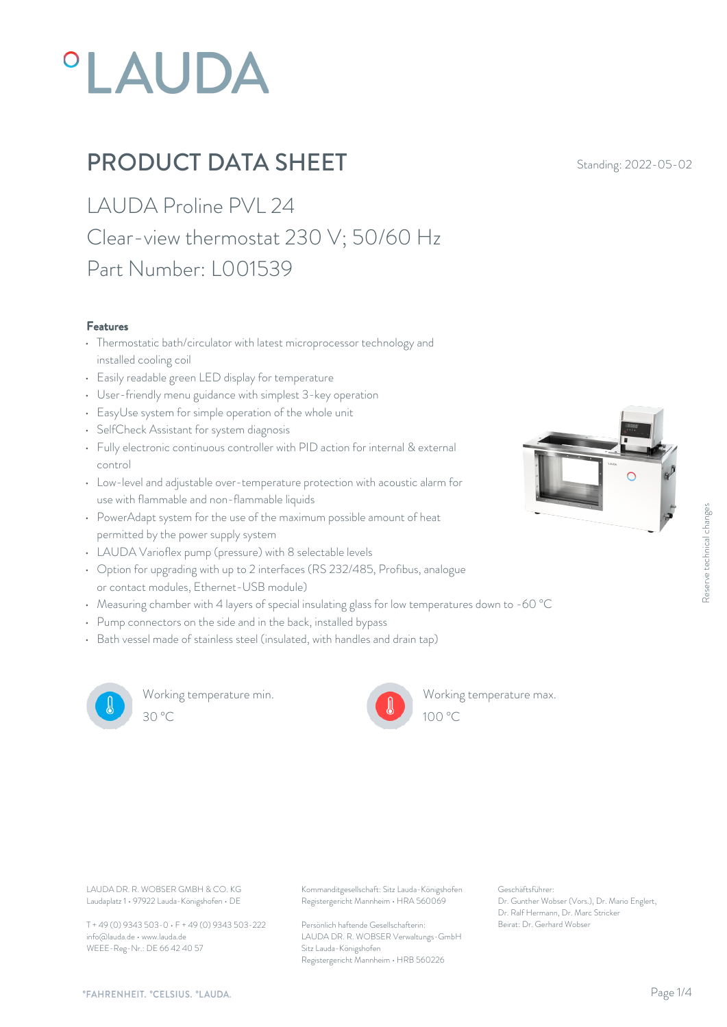# **°LAUDA**

## **PRODUCT DATA SHEET** Standing: 2022-05-02

LAUDA Proline PVL 24 Clear-view thermostat 230 V; 50/60 Hz Part Number: L001539

#### Features

- Thermostatic bath/circulator with latest microprocessor technology and installed cooling coil
- Easily readable green LED display for temperature
- User-friendly menu guidance with simplest 3-key operation
- EasyUse system for simple operation of the whole unit
- SelfCheck Assistant for system diagnosis
- Fully electronic continuous controller with PID action for internal & external control
- Low-level and adjustable over-temperature protection with acoustic alarm for use with flammable and non-flammable liquids
- PowerAdapt system for the use of the maximum possible amount of heat permitted by the power supply system
- LAUDA Varioflex pump (pressure) with 8 selectable levels
- Option for upgrading with up to 2 interfaces (RS 232/485, Profibus, analogue or contact modules, Ethernet-USB module) • Measuring chamber with 4 layers of special insulating glass for low temperatures down to -60 °C<br>
• Measuring chamber with 4 layers of special insulating glass for low temperatures down to -60 °C<br>
• Measuring chamber with
- 
- Pump connectors on the side and in the back, installed bypass
- Bath vessel made of stainless steel (insulated, with handles and drain tap)



Working temperature min. 30 °C 100 °C



Working temperature max.

Laudaplatz 1 • 97922 Lauda-Königshofen • DE

T + 49 (0) 9343 503-0 • F + 49 (0) 9343 503-222 info@lauda.de • www.lauda.de WEEE-Reg-Nr.: DE 66 42 40 57

LAUDA DR. R. WOBSER GMBH & CO. KG Kommanditgesellschaft: Sitz Lauda-Königshofen Geschäftsführer: Registergericht Mannheim • HRA 560069

> Persönlich haftende Gesellschafterin: Beirat: Dr. Gerhard Wobse LAUDA DR. R. WOBSER Verwaltungs-GmbH Sitz Lauda-Königshofen Registergericht Mannheim • HRB 560226

Geschäftsführer: Dr. Gunther Wobser (Vors.), Dr. Mario Englert, Dr. Ralf Hermann, Dr. Marc Stricker Beschäftsführer:<br>Beischäftsführer:<br>Br. Gunther Wobser (Vors.), Dr. Mario Englert,<br>Dr. Gunther Wobser (Vors.), Dr. Marc Stricker<br>Beirat: Dr. Gerhard Wobser

 $100 \degree C$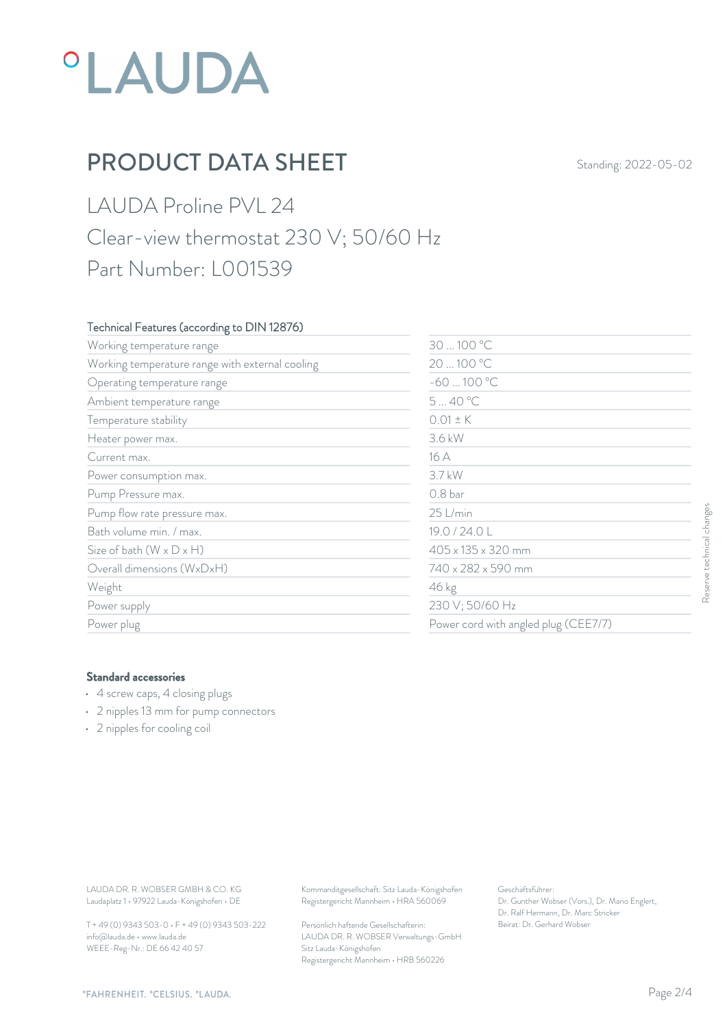## **°LAUDA**

### **PRODUCT DATA SHEET** Standing: 2022-05-02

LAUDA Proline PVL 24 Clear-view thermostat 230 V; 50/60 Hz Part Number: L001539

#### Technical Features (according to DIN 12876)

| Working temperature range                                                                                                               |                                                                                        | 30  100 °C<br>20  100 °C<br>$-60100 °C$                                               |                           |
|-----------------------------------------------------------------------------------------------------------------------------------------|----------------------------------------------------------------------------------------|---------------------------------------------------------------------------------------|---------------------------|
| Working temperature range with external cooling                                                                                         |                                                                                        |                                                                                       |                           |
| Operating temperature range                                                                                                             |                                                                                        |                                                                                       |                           |
| Ambient temperature range                                                                                                               | 540 °C                                                                                 |                                                                                       |                           |
| Temperature stability                                                                                                                   | $0.01 \pm K$                                                                           |                                                                                       |                           |
| Heater power max.                                                                                                                       | 3.6 kW                                                                                 |                                                                                       |                           |
| Current max.                                                                                                                            | 16 A                                                                                   |                                                                                       |                           |
| Power consumption max.                                                                                                                  | 3.7 kW                                                                                 | 0.8 bar<br>25 L/min                                                                   |                           |
| Pump Pressure max.                                                                                                                      |                                                                                        |                                                                                       |                           |
| Pump flow rate pressure max.                                                                                                            |                                                                                        |                                                                                       |                           |
| Bath volume min. / max.                                                                                                                 |                                                                                        | 19.0 / 24.0 L<br>405 x 135 x 320 mm<br>740 x 282 x 590 mm<br>46 kg<br>230 V; 50/60 Hz | Reserve technical changes |
| Size of bath $(W \times D \times H)$                                                                                                    |                                                                                        |                                                                                       |                           |
| Overall dimensions (WxDxH)                                                                                                              |                                                                                        |                                                                                       |                           |
| Weight                                                                                                                                  |                                                                                        |                                                                                       |                           |
| Power supply                                                                                                                            |                                                                                        |                                                                                       |                           |
| Power plug                                                                                                                              |                                                                                        | Power cord with angled plug (CEE7/7)                                                  |                           |
| <b>Standard accessories</b><br>• 4 screw caps, 4 closing plugs<br>• 2 nipples 13 mm for pump connectors<br>• 2 nipples for cooling coil |                                                                                        |                                                                                       |                           |
| LAUDA DR. R. WOBSER GMBH & CO. KG<br>Laudaplatz 1 · 97922 Lauda-Königshofen · DE                                                        | Kommanditgesellschaft: Sitz Lauda-Königshofen<br>Registergericht Mannheim · HRA 560069 | Geschäftsführer:<br>Dr. Gunther Wobser (Vors.), Dr. Mario Englert,                    |                           |
| T + 49 (0) 9343 503-0 · F + 49 (0) 9343 503-222                                                                                         | Persönlich haftende Gesellschafterin:                                                  | Dr. Ralf Hermann, Dr. Marc Stricker<br>Beirat: Dr. Gerhard Wobser                     |                           |

#### Standard accessories

- 4 screw caps, 4 closing plugs
- 2 nipples 13 mm for pump connectors
- 2 nipples for cooling coil

T + 49 (0) 9343 503-0 • F + 49 (0) 9343 503-222 info@lauda.de • www.lauda.de WEEE-Reg-Nr.: DE 66 42 40 57

> Persönlich haftende Gesellschafterin: Beirat: Dr. Gerhard Wobse LAUDA DR. R. WOBSER Verwaltungs-GmbH Sitz Lauda-Königshofen Registergericht Mannheim • HRB 560226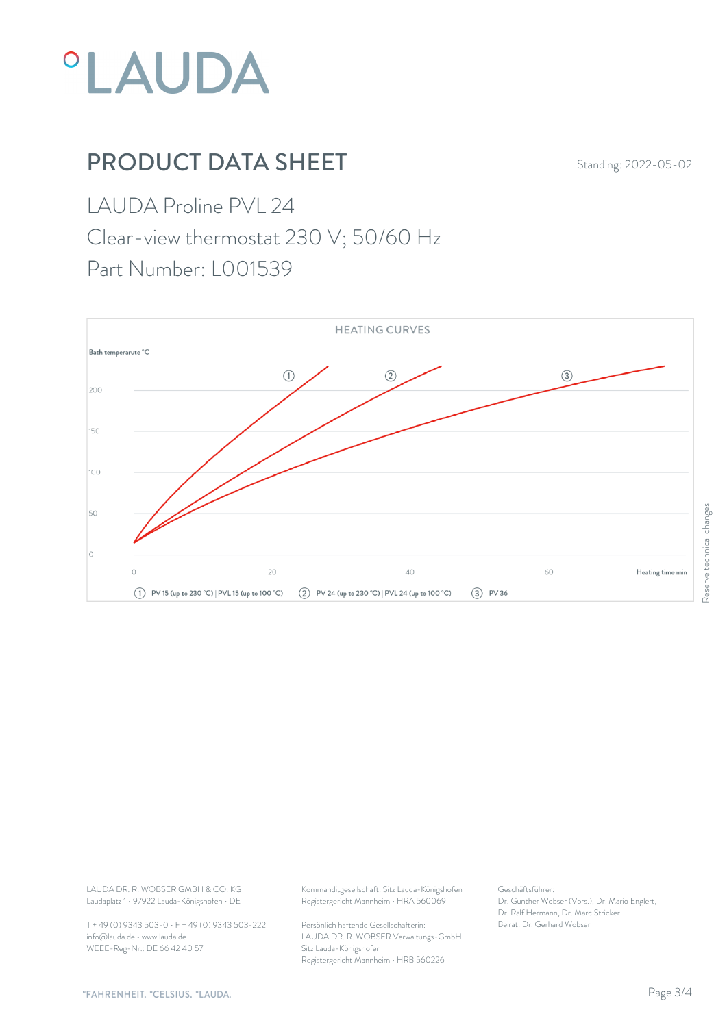

## **PRODUCT DATA SHEET** Standing: 2022-05-02

LAUDA Proline PVL 24

Clear-view thermostat 230 V; 50/60 Hz

Part Number: L001539



Laudaplatz 1 • 97922 Lauda-Königshofen • DE

T + 49 (0) 9343 503-0 • F + 49 (0) 9343 503-222 info@lauda.de • www.lauda.de WEEE-Reg-Nr.: DE 66 42 40 57

LAUDA DR. R. WOBSER GMBH & CO. KG Kommanditgesellschaft: Sitz Lauda-Königshofen Geschäftsführer: Registergericht Mannheim • HRA 560069

> Persönlich haftende Gesellschafterin: Beirat: Dr. Gerhard Wobse LAUDA DR. R. WOBSER Verwaltungs-GmbH Sitz Lauda-Königshofen Registergericht Mannheim • HRB 560226

Geschäftsführer: Dr. Gunther Wobser (Vors.), Dr. Mario Englert, Dr. Ralf Hermann, Dr. Marc Stricker